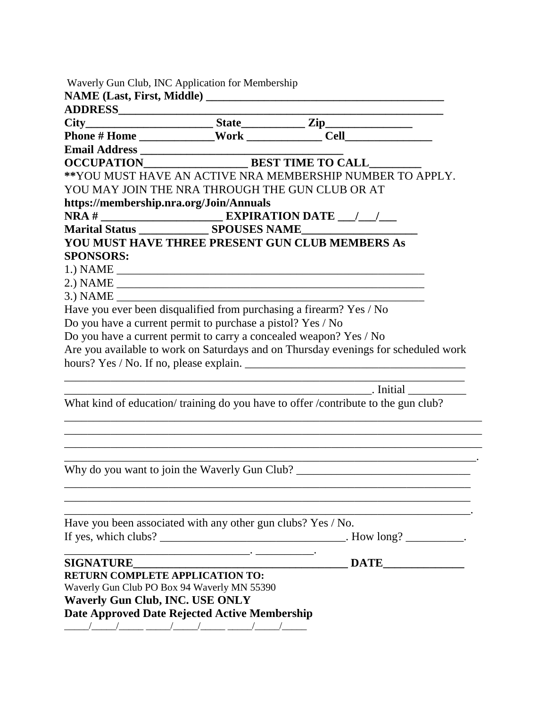|                                                                                                                                                             | ** YOU MUST HAVE AN ACTIVE NRA MEMBERSHIP NUMBER TO APPLY.                                                             |
|-------------------------------------------------------------------------------------------------------------------------------------------------------------|------------------------------------------------------------------------------------------------------------------------|
| YOU MAY JOIN THE NRA THROUGH THE GUN CLUB OR AT                                                                                                             |                                                                                                                        |
| https://membership.nra.org/Join/Annuals                                                                                                                     |                                                                                                                        |
|                                                                                                                                                             |                                                                                                                        |
|                                                                                                                                                             |                                                                                                                        |
|                                                                                                                                                             | YOU MUST HAVE THREE PRESENT GUN CLUB MEMBERS As                                                                        |
| <b>SPONSORS:</b>                                                                                                                                            |                                                                                                                        |
|                                                                                                                                                             |                                                                                                                        |
|                                                                                                                                                             |                                                                                                                        |
|                                                                                                                                                             |                                                                                                                        |
|                                                                                                                                                             | Have you ever been disqualified from purchasing a firearm? Yes / No                                                    |
| Do you have a current permit to purchase a pistol? Yes / No                                                                                                 |                                                                                                                        |
|                                                                                                                                                             | Do you have a current permit to carry a concealed weapon? Yes / No                                                     |
|                                                                                                                                                             | Are you available to work on Saturdays and on Thursday evenings for scheduled work                                     |
|                                                                                                                                                             |                                                                                                                        |
|                                                                                                                                                             |                                                                                                                        |
|                                                                                                                                                             |                                                                                                                        |
|                                                                                                                                                             |                                                                                                                        |
|                                                                                                                                                             | What kind of education/ training do you have to offer / contribute to the gun club?                                    |
|                                                                                                                                                             |                                                                                                                        |
|                                                                                                                                                             |                                                                                                                        |
|                                                                                                                                                             |                                                                                                                        |
|                                                                                                                                                             | <u> 1980 - Johann John Stone, market fan it ferskearre fan it ferskearre fan it ferskearre fan it ferskearre fan i</u> |
|                                                                                                                                                             | Why do you want to join the Waverly Gun Club? ___________________________________                                      |
|                                                                                                                                                             |                                                                                                                        |
|                                                                                                                                                             |                                                                                                                        |
|                                                                                                                                                             |                                                                                                                        |
|                                                                                                                                                             | _. How long? ___________.                                                                                              |
|                                                                                                                                                             |                                                                                                                        |
| Have you been associated with any other gun clubs? Yes / No.<br>If yes, which clubs? $\frac{1}{\sqrt{1-\frac{1}{2}} \cdot \frac{1}{2}}$<br><b>SIGNATURE</b> |                                                                                                                        |
| <b>RETURN COMPLETE APPLICATION TO:</b>                                                                                                                      |                                                                                                                        |
| Waverly Gun Club PO Box 94 Waverly MN 55390                                                                                                                 |                                                                                                                        |
| <b>Waverly Gun Club, INC. USE ONLY</b><br><b>Date Approved Date Rejected Active Membership</b>                                                              |                                                                                                                        |